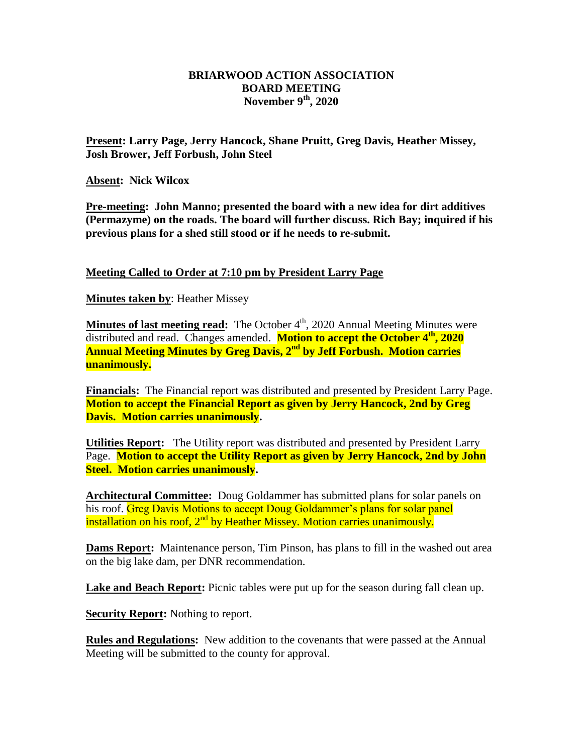## **BRIARWOOD ACTION ASSOCIATION BOARD MEETING November 9th, 2020**

**Present: Larry Page, Jerry Hancock, Shane Pruitt, Greg Davis, Heather Missey, Josh Brower, Jeff Forbush, John Steel**

**Absent: Nick Wilcox**

**Pre-meeting: John Manno; presented the board with a new idea for dirt additives (Permazyme) on the roads. The board will further discuss. Rich Bay; inquired if his previous plans for a shed still stood or if he needs to re-submit.**

**Meeting Called to Order at 7:10 pm by President Larry Page**

**Minutes taken by**: Heather Missey

**Minutes of last meeting read:** The October 4<sup>th</sup>, 2020 Annual Meeting Minutes were distributed and read. Changes amended. **Motion to accept the October 4th, 2020 Annual Meeting Minutes by Greg Davis, 2nd by Jeff Forbush. Motion carries unanimously.**

**Financials:** The Financial report was distributed and presented by President Larry Page. **Motion to accept the Financial Report as given by Jerry Hancock, 2nd by Greg Davis. Motion carries unanimously.** 

**Utilities Report:** The Utility report was distributed and presented by President Larry Page. **Motion to accept the Utility Report as given by Jerry Hancock, 2nd by John Steel. Motion carries unanimously.** 

**Architectural Committee:** Doug Goldammer has submitted plans for solar panels on his roof. Greg Davis Motions to accept Doug Goldammer's plans for solar panel installation on his roof,  $2<sup>nd</sup>$  by Heather Missey. Motion carries unanimously.

**Dams Report:** Maintenance person, Tim Pinson, has plans to fill in the washed out area on the big lake dam, per DNR recommendation.

**Lake and Beach Report:** Picnic tables were put up for the season during fall clean up.

**Security Report:** Nothing to report.

**Rules and Regulations:** New addition to the covenants that were passed at the Annual Meeting will be submitted to the county for approval.